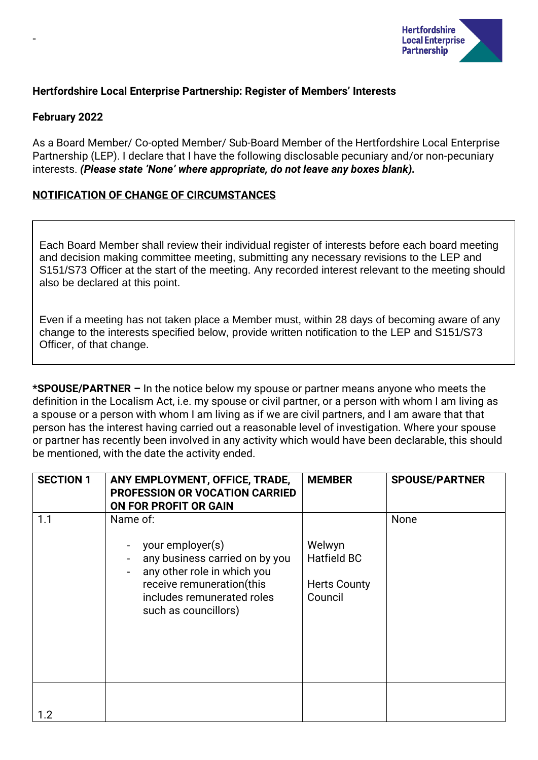

# **Hertfordshire Local Enterprise Partnership: Register of Members' Interests**

### **February 2022**

-

As a Board Member/ Co-opted Member/ Sub-Board Member of the Hertfordshire Local Enterprise Partnership (LEP). I declare that I have the following disclosable pecuniary and/or non-pecuniary interests. *(Please state 'None' where appropriate, do not leave any boxes blank).*

## **NOTIFICATION OF CHANGE OF CIRCUMSTANCES**

Each Board Member shall review their individual register of interests before each board meeting and decision making committee meeting, submitting any necessary revisions to the LEP and S151/S73 Officer at the start of the meeting. Any recorded interest relevant to the meeting should also be declared at this point.

Even if a meeting has not taken place a Member must, within 28 days of becoming aware of any change to the interests specified below, provide written notification to the LEP and S151/S73 Officer, of that change.

**\*SPOUSE/PARTNER –** In the notice below my spouse or partner means anyone who meets the definition in the Localism Act, i.e. my spouse or civil partner, or a person with whom I am living as a spouse or a person with whom I am living as if we are civil partners, and I am aware that that person has the interest having carried out a reasonable level of investigation. Where your spouse or partner has recently been involved in any activity which would have been declarable, this should be mentioned, with the date the activity ended.

| <b>SECTION 1</b> | ANY EMPLOYMENT, OFFICE, TRADE,<br><b>PROFESSION OR VOCATION CARRIED</b><br>ON FOR PROFIT OR GAIN                                                                                 | <b>MEMBER</b>                                                  | <b>SPOUSE/PARTNER</b> |
|------------------|----------------------------------------------------------------------------------------------------------------------------------------------------------------------------------|----------------------------------------------------------------|-----------------------|
| 1.1              | Name of:<br>your employer(s)<br>any business carried on by you<br>any other role in which you<br>receive remuneration(this<br>includes remunerated roles<br>such as councillors) | Welwyn<br><b>Hatfield BC</b><br><b>Herts County</b><br>Council | <b>None</b>           |
| 1.2              |                                                                                                                                                                                  |                                                                |                       |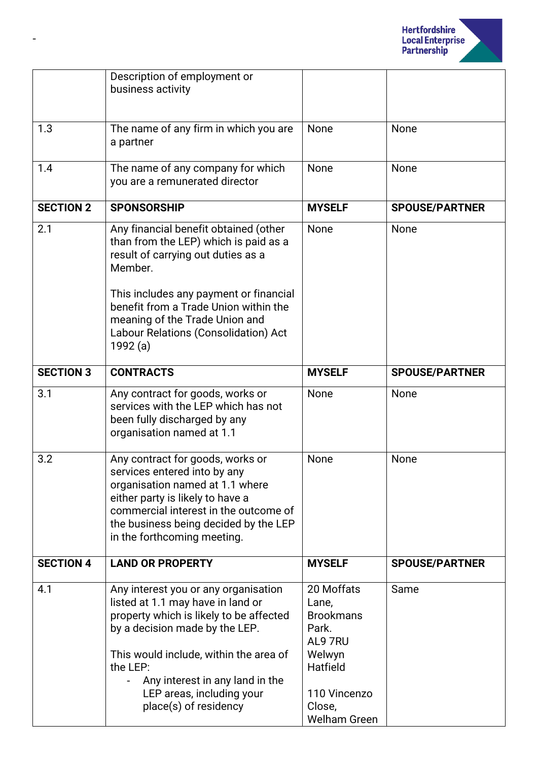

|                  | Description of employment or<br>business activity                                                                                                                                                                                                                                                        |                                                                                                             |                       |
|------------------|----------------------------------------------------------------------------------------------------------------------------------------------------------------------------------------------------------------------------------------------------------------------------------------------------------|-------------------------------------------------------------------------------------------------------------|-----------------------|
| 1.3              | The name of any firm in which you are<br>a partner                                                                                                                                                                                                                                                       | None                                                                                                        | None                  |
| 1.4              | The name of any company for which<br>you are a remunerated director                                                                                                                                                                                                                                      | None                                                                                                        | None                  |
| <b>SECTION 2</b> | <b>SPONSORSHIP</b>                                                                                                                                                                                                                                                                                       | <b>MYSELF</b>                                                                                               | <b>SPOUSE/PARTNER</b> |
| 2.1              | Any financial benefit obtained (other<br>than from the LEP) which is paid as a<br>result of carrying out duties as a<br>Member.<br>This includes any payment or financial<br>benefit from a Trade Union within the<br>meaning of the Trade Union and<br>Labour Relations (Consolidation) Act<br>1992 (a) | None                                                                                                        | None                  |
| <b>SECTION 3</b> | <b>CONTRACTS</b>                                                                                                                                                                                                                                                                                         | <b>MYSELF</b>                                                                                               | <b>SPOUSE/PARTNER</b> |
| 3.1              | Any contract for goods, works or<br>services with the LEP which has not<br>been fully discharged by any<br>organisation named at 1.1                                                                                                                                                                     | None                                                                                                        | None                  |
| 3.2              | Any contract for goods, works or<br>services entered into by any<br>organisation named at 1.1 where<br>either party is likely to have a<br>commercial interest in the outcome of<br>the business being decided by the LEP<br>in the forthcoming meeting.                                                 | None                                                                                                        | None                  |
| <b>SECTION 4</b> | <b>LAND OR PROPERTY</b>                                                                                                                                                                                                                                                                                  | <b>MYSELF</b>                                                                                               | <b>SPOUSE/PARTNER</b> |
| 4.1              | Any interest you or any organisation<br>listed at 1.1 may have in land or<br>property which is likely to be affected<br>by a decision made by the LEP.<br>This would include, within the area of<br>the LEP:<br>Any interest in any land in the<br>LEP areas, including your<br>place(s) of residency    | 20 Moffats<br>Lane,<br><b>Brookmans</b><br>Park.<br>AL9 7RU<br>Welwyn<br>Hatfield<br>110 Vincenzo<br>Close, | Same                  |
|                  |                                                                                                                                                                                                                                                                                                          | <b>Welham Green</b>                                                                                         |                       |

-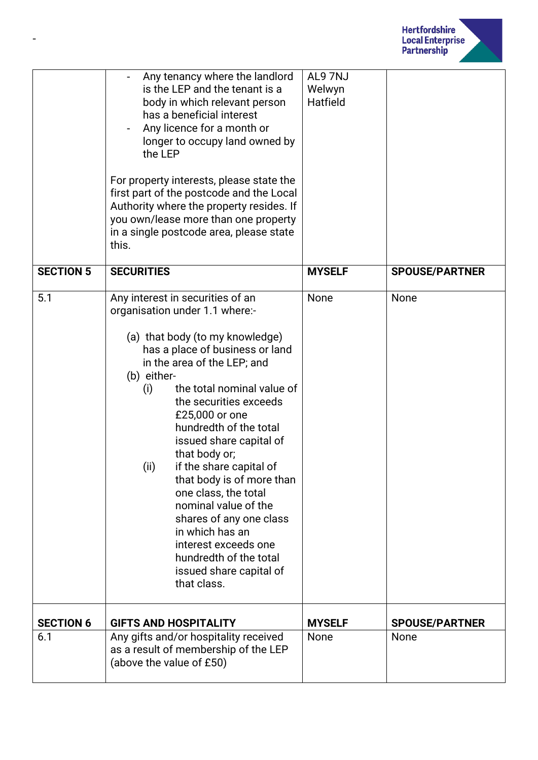

|                  | Any tenancy where the landlord<br>is the LEP and the tenant is a<br>body in which relevant person<br>has a beneficial interest<br>Any licence for a month or<br>longer to occupy land owned by<br>the LEP<br>For property interests, please state the<br>first part of the postcode and the Local<br>Authority where the property resides. If<br>you own/lease more than one property<br>in a single postcode area, please state<br>this.                                                                                                                                                               | AL97NJ<br>Welwyn<br>Hatfield |                       |
|------------------|---------------------------------------------------------------------------------------------------------------------------------------------------------------------------------------------------------------------------------------------------------------------------------------------------------------------------------------------------------------------------------------------------------------------------------------------------------------------------------------------------------------------------------------------------------------------------------------------------------|------------------------------|-----------------------|
| <b>SECTION 5</b> | <b>SECURITIES</b>                                                                                                                                                                                                                                                                                                                                                                                                                                                                                                                                                                                       | <b>MYSELF</b>                | <b>SPOUSE/PARTNER</b> |
| 5.1              | Any interest in securities of an<br>organisation under 1.1 where:-<br>(a) that body (to my knowledge)<br>has a place of business or land<br>in the area of the LEP; and<br>(b) either-<br>the total nominal value of<br>(i)<br>the securities exceeds<br>£25,000 or one<br>hundredth of the total<br>issued share capital of<br>that body or;<br>if the share capital of<br>(ii)<br>that body is of more than<br>one class, the total<br>nominal value of the<br>shares of any one class<br>in which has an<br>interest exceeds one<br>hundredth of the total<br>issued share capital of<br>that class. | None                         | None                  |
| <b>SECTION 6</b> | <b>GIFTS AND HOSPITALITY</b>                                                                                                                                                                                                                                                                                                                                                                                                                                                                                                                                                                            | <b>MYSELF</b>                | <b>SPOUSE/PARTNER</b> |
| 6.1              | Any gifts and/or hospitality received<br>as a result of membership of the LEP<br>(above the value of £50)                                                                                                                                                                                                                                                                                                                                                                                                                                                                                               | None                         | None                  |

-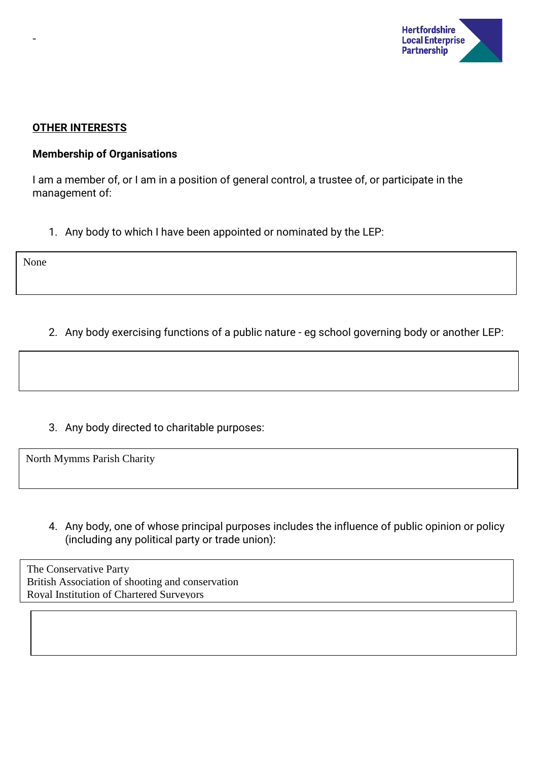

#### **OTHER INTERESTS**

### **Membership of Organisations**

I am a member of, or I am in a position of general control, a trustee of, or participate in the management of:

1. Any body to which I have been appointed or nominated by the LEP:

None

-

2. Any body exercising functions of a public nature - eg school governing body or another LEP:

3. Any body directed to charitable purposes:

North Mymms Parish Charity

4. Any body, one of whose principal purposes includes the influence of public opinion or policy (including any political party or trade union):

The Conservative Party British Association of shooting and conservation Royal Institution of Chartered Surveyors